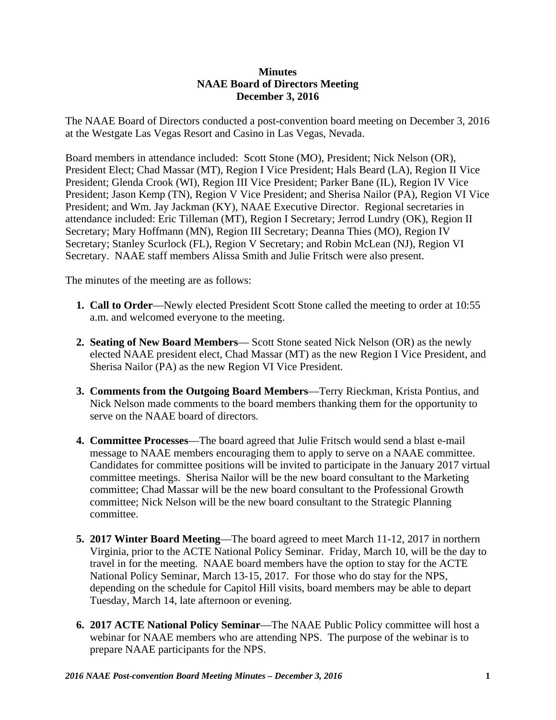## **Minutes NAAE Board of Directors Meeting December 3, 2016**

The NAAE Board of Directors conducted a post-convention board meeting on December 3, 2016 at the Westgate Las Vegas Resort and Casino in Las Vegas, Nevada.

Board members in attendance included: Scott Stone (MO), President; Nick Nelson (OR), President Elect; Chad Massar (MT), Region I Vice President; Hals Beard (LA), Region II Vice President; Glenda Crook (WI), Region III Vice President; Parker Bane (IL), Region IV Vice President; Jason Kemp (TN), Region V Vice President; and Sherisa Nailor (PA), Region VI Vice President; and Wm. Jay Jackman (KY), NAAE Executive Director. Regional secretaries in attendance included: Eric Tilleman (MT), Region I Secretary; Jerrod Lundry (OK), Region II Secretary; Mary Hoffmann (MN), Region III Secretary; Deanna Thies (MO), Region IV Secretary; Stanley Scurlock (FL), Region V Secretary; and Robin McLean (NJ), Region VI Secretary. NAAE staff members Alissa Smith and Julie Fritsch were also present.

The minutes of the meeting are as follows:

- **1. Call to Order**—Newly elected President Scott Stone called the meeting to order at 10:55 a.m. and welcomed everyone to the meeting.
- **2. Seating of New Board Members** Scott Stone seated Nick Nelson (OR) as the newly elected NAAE president elect, Chad Massar (MT) as the new Region I Vice President, and Sherisa Nailor (PA) as the new Region VI Vice President.
- **3. Comments from the Outgoing Board Members**—Terry Rieckman, Krista Pontius, and Nick Nelson made comments to the board members thanking them for the opportunity to serve on the NAAE board of directors.
- **4. Committee Processes**—The board agreed that Julie Fritsch would send a blast e-mail message to NAAE members encouraging them to apply to serve on a NAAE committee. Candidates for committee positions will be invited to participate in the January 2017 virtual committee meetings. Sherisa Nailor will be the new board consultant to the Marketing committee; Chad Massar will be the new board consultant to the Professional Growth committee; Nick Nelson will be the new board consultant to the Strategic Planning committee.
- **5. 2017 Winter Board Meeting**—The board agreed to meet March 11-12, 2017 in northern Virginia, prior to the ACTE National Policy Seminar. Friday, March 10, will be the day to travel in for the meeting. NAAE board members have the option to stay for the ACTE National Policy Seminar, March 13-15, 2017. For those who do stay for the NPS, depending on the schedule for Capitol Hill visits, board members may be able to depart Tuesday, March 14, late afternoon or evening.
- **6. 2017 ACTE National Policy Seminar**—The NAAE Public Policy committee will host a webinar for NAAE members who are attending NPS. The purpose of the webinar is to prepare NAAE participants for the NPS.